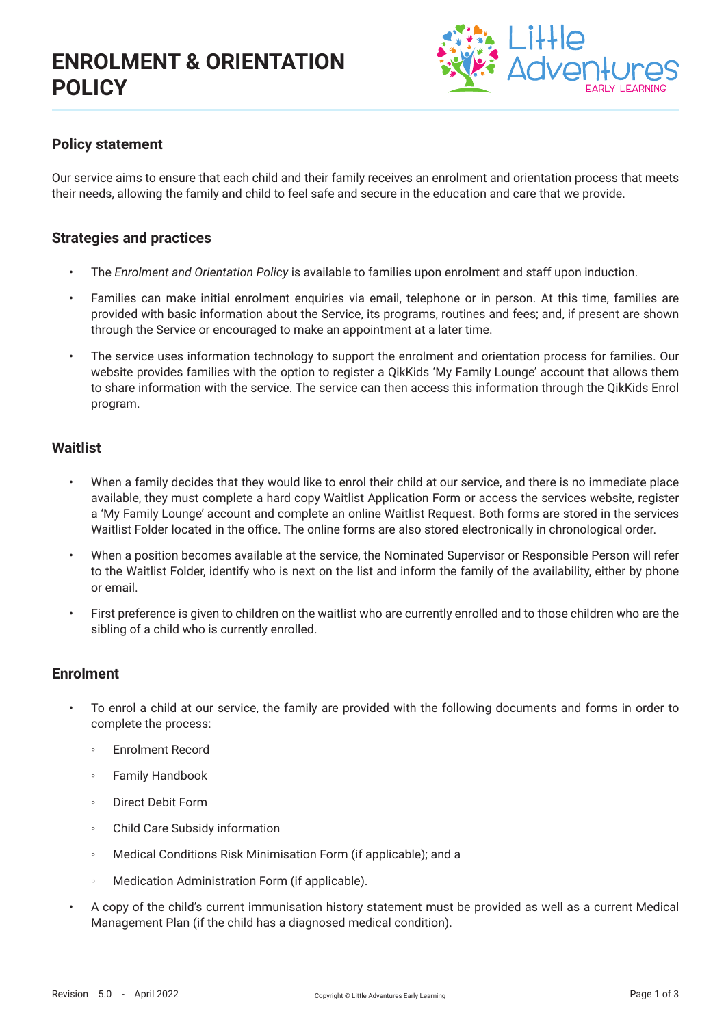

### **Policy statement**

Our service aims to ensure that each child and their family receives an enrolment and orientation process that meets their needs, allowing the family and child to feel safe and secure in the education and care that we provide.

#### **Strategies and practices**

- The *Enrolment and Orientation Policy* is available to families upon enrolment and staff upon induction.
- Families can make initial enrolment enquiries via email, telephone or in person. At this time, families are provided with basic information about the Service, its programs, routines and fees; and, if present are shown through the Service or encouraged to make an appointment at a later time.
- The service uses information technology to support the enrolment and orientation process for families. Our website provides families with the option to register a QikKids 'My Family Lounge' account that allows them to share information with the service. The service can then access this information through the QikKids Enrol program.

#### **Waitlist**

- When a family decides that they would like to enrol their child at our service, and there is no immediate place available, they must complete a hard copy Waitlist Application Form or access the services website, register a 'My Family Lounge' account and complete an online Waitlist Request. Both forms are stored in the services Waitlist Folder located in the office. The online forms are also stored electronically in chronological order.
- When a position becomes available at the service, the Nominated Supervisor or Responsible Person will refer to the Waitlist Folder, identify who is next on the list and inform the family of the availability, either by phone or email.
- First preference is given to children on the waitlist who are currently enrolled and to those children who are the sibling of a child who is currently enrolled.

#### **Enrolment**

- To enrol a child at our service, the family are provided with the following documents and forms in order to complete the process:
	- Enrolment Record
	- Family Handbook
	- Direct Debit Form
	- Child Care Subsidy information
	- Medical Conditions Risk Minimisation Form (if applicable); and a
	- Medication Administration Form (if applicable).
- A copy of the child's current immunisation history statement must be provided as well as a current Medical Management Plan (if the child has a diagnosed medical condition).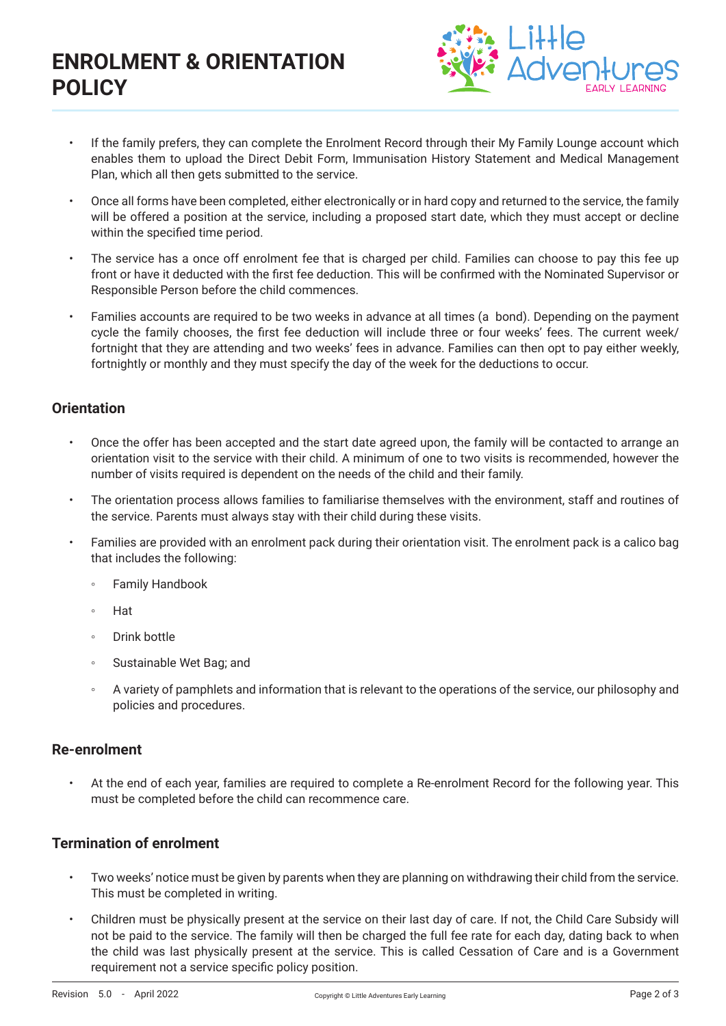# **ENROLMENT & ORIENTATION POLICY**



- If the family prefers, they can complete the Enrolment Record through their My Family Lounge account which enables them to upload the Direct Debit Form, Immunisation History Statement and Medical Management Plan, which all then gets submitted to the service.
- Once all forms have been completed, either electronically or in hard copy and returned to the service, the family will be offered a position at the service, including a proposed start date, which they must accept or decline within the specified time period.
- The service has a once off enrolment fee that is charged per child. Families can choose to pay this fee up front or have it deducted with the first fee deduction. This will be confirmed with the Nominated Supervisor or Responsible Person before the child commences.
- Families accounts are required to be two weeks in advance at all times (a bond). Depending on the payment cycle the family chooses, the first fee deduction will include three or four weeks' fees. The current week/ fortnight that they are attending and two weeks' fees in advance. Families can then opt to pay either weekly, fortnightly or monthly and they must specify the day of the week for the deductions to occur.

# **Orientation**

- Once the offer has been accepted and the start date agreed upon, the family will be contacted to arrange an orientation visit to the service with their child. A minimum of one to two visits is recommended, however the number of visits required is dependent on the needs of the child and their family.
- The orientation process allows families to familiarise themselves with the environment, staff and routines of the service. Parents must always stay with their child during these visits.
- Families are provided with an enrolment pack during their orientation visit. The enrolment pack is a calico bag that includes the following:
	- Family Handbook
	- Hat
	- Drink bottle
	- Sustainable Wet Bag; and
	- A variety of pamphlets and information that is relevant to the operations of the service, our philosophy and policies and procedures.

#### **Re-enrolment**

• At the end of each year, families are required to complete a Re-enrolment Record for the following year. This must be completed before the child can recommence care.

## **Termination of enrolment**

- Two weeks' notice must be given by parents when they are planning on withdrawing their child from the service. This must be completed in writing.
- Children must be physically present at the service on their last day of care. If not, the Child Care Subsidy will not be paid to the service. The family will then be charged the full fee rate for each day, dating back to when the child was last physically present at the service. This is called Cessation of Care and is a Government requirement not a service specific policy position.